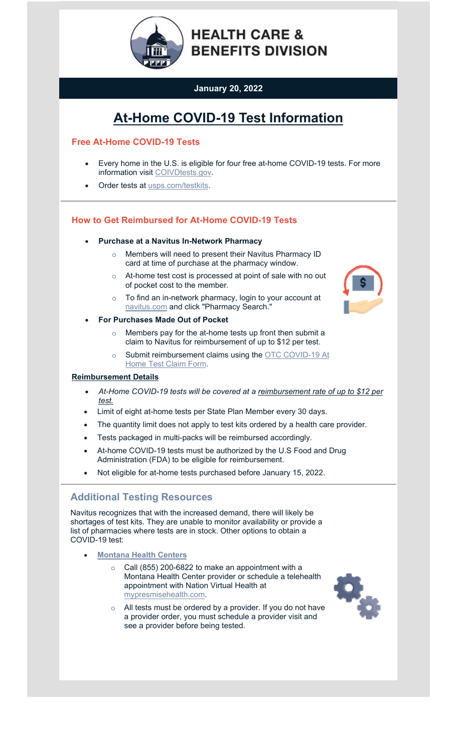

# **January 20, 2022**

# **At-Home COVID-19 Test Information**

## **Free At-Home COVID-19 Tests**

- Every home in the U.S. is eligible for four free at-home COVID-19 tests. For more information visi[t COIVDtests.gov.](https://lnks.gd/l/eyJhbGciOiJIUzI1NiJ9.eyJidWxsZXRpbl9saW5rX2lkIjoxMDEsInVyaSI6ImJwMjpjbGljayIsImJ1bGxldGluX2lkIjoiMjAyMjAxMjAuNTIxMTAwNTEiLCJ1cmwiOiJodHRwczovL3d3dy5jb3ZpZHRlc3RzLmdvdi8_dXRtX21lZGl1bT1lbWFpbCZ1dG1fc291cmNlPWdvdmRlbGl2ZXJ5In0.5qJojBPs8M95hmyVi8ietZb7pw8ITbzVhrezhiRA4WQ/s/732990110/br/125407175940-l)
- Order tests at [usps.com/testkits.](https://lnks.gd/l/eyJhbGciOiJIUzI1NiJ9.eyJidWxsZXRpbl9saW5rX2lkIjoxMDIsInVyaSI6ImJwMjpjbGljayIsImJ1bGxldGluX2lkIjoiMjAyMjAxMjAuNTIxMTAwNTEiLCJ1cmwiOiJodHRwczovL3NwZWNpYWwudXNwcy5jb20vdGVzdGtpdHM_dXRtX21lZGl1bT1lbWFpbCZ1dG1fc291cmNlPWdvdmRlbGl2ZXJ5In0.2jxHkDIuW4k9nD5dpPXxSzHaFLGqUvGIZPDG6vrhbwg/s/732990110/br/125407175940-l)

## **How to Get Reimbursed for At-Home COVID-19 Tests**

#### **Purchase at a Navitus In-Network Pharmacy**

- o Members will need to present their Navitus Pharmacy ID card at time of purchase at the pharmacy window.
- o At-home test cost is processed at point of sale with no out of pocket cost to the member.
- o To find an in-network pharmacy, login to your account at [navitus.com a](https://lnks.gd/l/eyJhbGciOiJIUzI1NiJ9.eyJidWxsZXRpbl9saW5rX2lkIjoxMDMsInVyaSI6ImJwMjpjbGljayIsImJ1bGxldGluX2lkIjoiMjAyMjAxMjAuNTIxMTAwNTEiLCJ1cmwiOiJodHRwczovL3d3dy5uYXZpdHVzLmNvbS8_dXRtX21lZGl1bT1lbWFpbCZ1dG1fc291cmNlPWdvdmRlbGl2ZXJ5In0.gWCr0f7LWSuQ9KfDUr87Z7khYhb94ib41Yt6xbDwdbU/s/732990110/br/125407175940-l)nd click "Pharmacy Search."
- **For Purchases Made Out of Pocket**
	- o Members pay for the at-home tests up front then submit a claim to Navitus for reimbursement of up to \$12 per test.
	- o Submit reimbursement claims using the [OTC COVID-19 At](https://lnks.gd/l/eyJhbGciOiJIUzI1NiJ9.eyJidWxsZXRpbl9saW5rX2lkIjoxMDQsInVyaSI6ImJwMjpjbGljayIsImJ1bGxldGluX2lkIjoiMjAyMjAxMjAuNTIxMTAwNTEiLCJ1cmwiOiJodHRwczovL3d3dy5uYXZpdHVzLmNvbS9OYXZpdHVzLldlYi9tZWRpYS9wZGYvT1RDLUNvdmlkLTE5LUF0LUhvbWUtVGVzdC1DbGFpbS1Gb3JtLnBkZj91dG1fbWVkaXVtPWVtYWlsJnV0bV9zb3VyY2U9Z292ZGVsaXZlcnkifQ.OZdYFw4Ck-4mDgn6acjWNl4Yz7crzn1Rao7pHDaH2bg/s/732990110/br/125407175940-l) [Home Test Claim Form.](https://lnks.gd/l/eyJhbGciOiJIUzI1NiJ9.eyJidWxsZXRpbl9saW5rX2lkIjoxMDQsInVyaSI6ImJwMjpjbGljayIsImJ1bGxldGluX2lkIjoiMjAyMjAxMjAuNTIxMTAwNTEiLCJ1cmwiOiJodHRwczovL3d3dy5uYXZpdHVzLmNvbS9OYXZpdHVzLldlYi9tZWRpYS9wZGYvT1RDLUNvdmlkLTE5LUF0LUhvbWUtVGVzdC1DbGFpbS1Gb3JtLnBkZj91dG1fbWVkaXVtPWVtYWlsJnV0bV9zb3VyY2U9Z292ZGVsaXZlcnkifQ.OZdYFw4Ck-4mDgn6acjWNl4Yz7crzn1Rao7pHDaH2bg/s/732990110/br/125407175940-l)

## **Reimbursement Details**

- *At-Home COVID-19 tests will be covered at a reimbursement rate of up to \$12 per test.*
- Limit of eight at-home tests per State Plan Member every 30 days.
- The quantity limit does not apply to test kits ordered by a health care provider.
- Tests packaged in multi-packs will be reimbursed accordingly.
- At-home COVID-19 tests must be authorized by the U.S Food and Drug Administration (FDA) to be eligible for reimbursement.
- Not eligible for at-home tests purchased before January 15, 2022.

## **Additional Testing Resources**

Navitus recognizes that with the increased demand, there will likely be shortages of test kits. They are unable to monitor availability or provide a list of pharmacies where tests are in stock. Other options to obtain a COVID-19 test:

- **[Montana Health Centers](https://lnks.gd/l/eyJhbGciOiJIUzI1NiJ9.eyJidWxsZXRpbl9saW5rX2lkIjoxMDUsInVyaSI6ImJwMjpjbGljayIsImJ1bGxldGluX2lkIjoiMjAyMjAxMjAuNTIxMTAwNTEiLCJ1cmwiOiJodHRwczovL3d3dy5sY2NvdW50eW10Lmdvdi9oZWFsdGgvY292aWQtMTkvY29tbXVuaXR5LWNvdmlkLTE5LXRlc3RpbmctY2xpbmljLmh0bWw_dXRtX21lZGl1bT1lbWFpbCZ1dG1fc291cmNlPWdvdmRlbGl2ZXJ5In0.cg-17S7AUKw1TkFZHe2sX97JfhmiFY6DgJzRj3r-05E/s/732990110/br/125407175940-l)**
	- $\circ$  Call (855) 200-6822 to make an appointment with a Montana Health Center provider or schedule a telehealth [appointment with Nation Virtual Health at](https://www.helenamontanamaps.org/LCPHCovid19HUB/) mypresmisehealth.com.
	- $\circ$  All tests must be ordered by a provider. If you do not have [a provider order, yo](https://healthcenter.mt.gov/index)u must schedule a provider visit and see a provider before being tested.